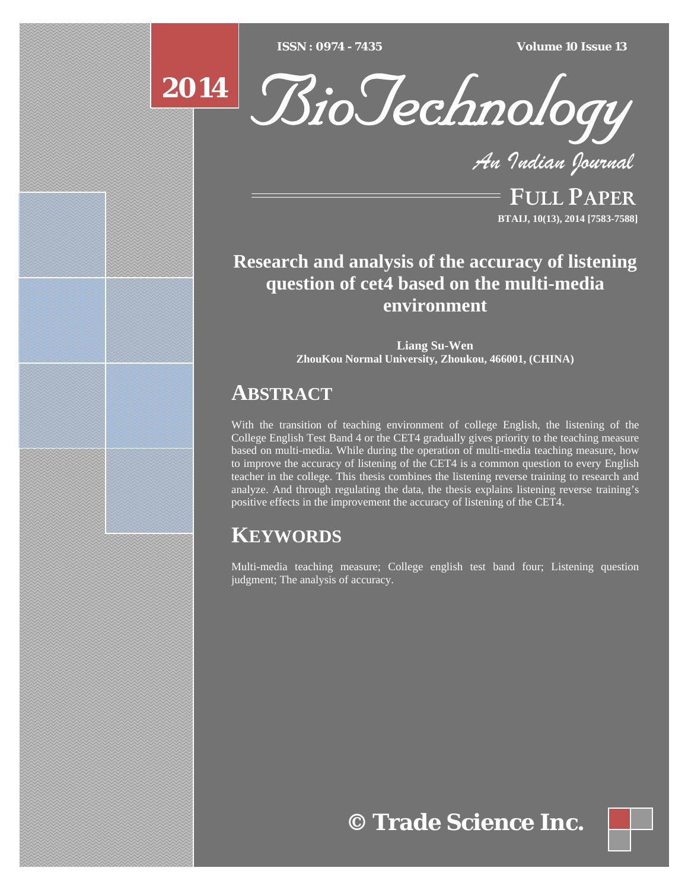$\overline{ISSN} : 0974 - 7435$ 

*ISSN : 0974 - 7435 Volume 10 Issue 13*



*An Indian Journal*

FULL PAPER **BTAIJ, 10(13), 2014 [7583-7588]**

# **Research and analysis of the accuracy of listening question of cet4 based on the multi-media environment**

**Liang Su-Wen ZhouKou Normal University, Zhoukou, 466001, (CHINA)**

# **ABSTRACT**

With the transition of teaching environment of college English, the listening of the College English Test Band 4 or the CET4 gradually gives priority to the teaching measure based on multi-media. While during the operation of multi-media teaching measure, how to improve the accuracy of listening of the CET4 is a common question to every English teacher in the college. This thesis combines the listening reverse training to research and analyze. And through regulating the data, the thesis explains listening reverse training's positive effects in the improvement the accuracy of listening of the CET4.

# **KEYWORDS**

Multi-media teaching measure; College english test band four; Listening question judgment; The analysis of accuracy.

# **© Trade Science Inc.**

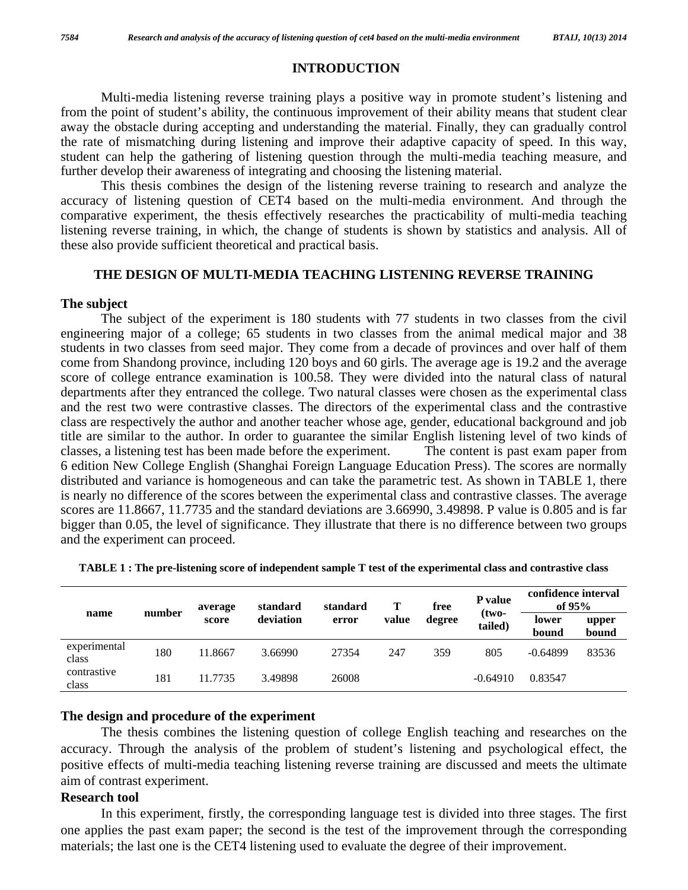#### **INTRODUCTION**

 Multi-media listening reverse training plays a positive way in promote student's listening and from the point of student's ability, the continuous improvement of their ability means that student clear away the obstacle during accepting and understanding the material. Finally, they can gradually control the rate of mismatching during listening and improve their adaptive capacity of speed. In this way, student can help the gathering of listening question through the multi-media teaching measure, and further develop their awareness of integrating and choosing the listening material.

 This thesis combines the design of the listening reverse training to research and analyze the accuracy of listening question of CET4 based on the multi-media environment. And through the comparative experiment, the thesis effectively researches the practicability of multi-media teaching listening reverse training, in which, the change of students is shown by statistics and analysis. All of these also provide sufficient theoretical and practical basis.

### **THE DESIGN OF MULTI-MEDIA TEACHING LISTENING REVERSE TRAINING**

#### **The subject**

 The subject of the experiment is 180 students with 77 students in two classes from the civil engineering major of a college; 65 students in two classes from the animal medical major and 38 students in two classes from seed major. They come from a decade of provinces and over half of them come from Shandong province, including 120 boys and 60 girls. The average age is 19.2 and the average score of college entrance examination is 100.58. They were divided into the natural class of natural departments after they entranced the college. Two natural classes were chosen as the experimental class and the rest two were contrastive classes. The directors of the experimental class and the contrastive class are respectively the author and another teacher whose age, gender, educational background and job title are similar to the author. In order to guarantee the similar English listening level of two kinds of classes, a listening test has been made before the experiment. The content is past exam paper from 6 edition New College English (Shanghai Foreign Language Education Press). The scores are normally distributed and variance is homogeneous and can take the parametric test. As shown in TABLE 1, there is nearly no difference of the scores between the experimental class and contrastive classes. The average scores are 11.8667, 11.7735 and the standard deviations are 3.66990, 3.49898. P value is 0.805 and is far bigger than 0.05, the level of significance. They illustrate that there is no difference between two groups and the experiment can proceed.

| name                  | number | average<br>score | standard  | standard | T     | free   | P value            | confidence interval<br>of $95%$ |                |
|-----------------------|--------|------------------|-----------|----------|-------|--------|--------------------|---------------------------------|----------------|
|                       |        |                  | deviation | error    | value | degree | $(two-$<br>tailed) | lower<br>bound                  | upper<br>bound |
| experimental<br>class | 180    | 11.8667          | 3.66990   | 27354    | 247   | 359    | 805                | $-0.64899$                      | 83536          |
| contrastive<br>class  | 181    | 11.7735          | 3.49898   | 26008    |       |        | $-0.64910$         | 0.83547                         |                |

**TABLE 1 : The pre-listening score of independent sample T test of the experimental class and contrastive class** 

### **The design and procedure of the experiment**

 The thesis combines the listening question of college English teaching and researches on the accuracy. Through the analysis of the problem of student's listening and psychological effect, the positive effects of multi-media teaching listening reverse training are discussed and meets the ultimate aim of contrast experiment.

#### **Research tool**

 In this experiment, firstly, the corresponding language test is divided into three stages. The first one applies the past exam paper; the second is the test of the improvement through the corresponding materials; the last one is the CET4 listening used to evaluate the degree of their improvement.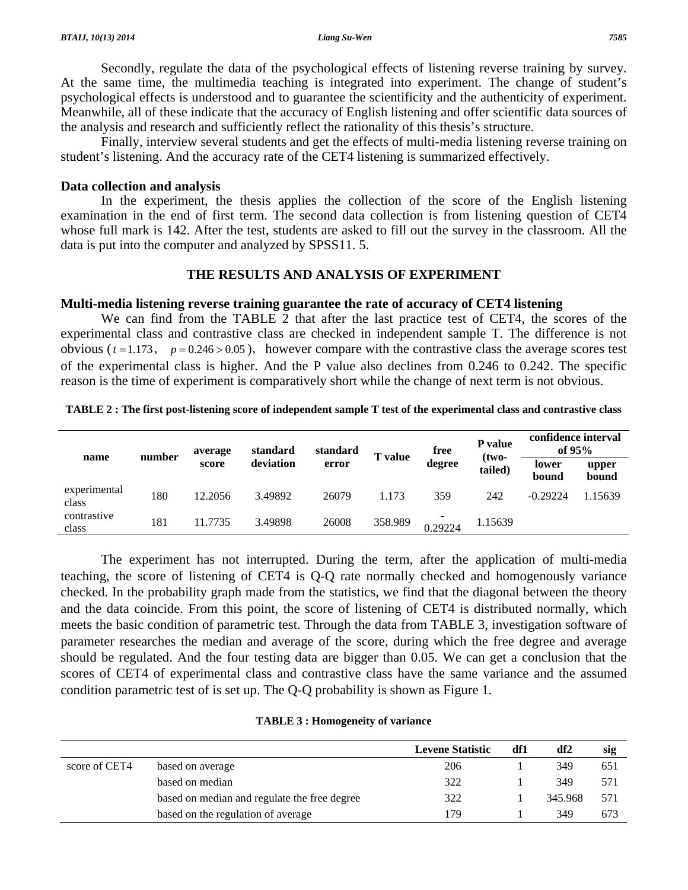Secondly, regulate the data of the psychological effects of listening reverse training by survey. At the same time, the multimedia teaching is integrated into experiment. The change of student's psychological effects is understood and to guarantee the scientificity and the authenticity of experiment. Meanwhile, all of these indicate that the accuracy of English listening and offer scientific data sources of the analysis and research and sufficiently reflect the rationality of this thesis's structure.

 Finally, interview several students and get the effects of multi-media listening reverse training on student's listening. And the accuracy rate of the CET4 listening is summarized effectively.

#### **Data collection and analysis**

 In the experiment, the thesis applies the collection of the score of the English listening examination in the end of first term. The second data collection is from listening question of CET4 whose full mark is 142. After the test, students are asked to fill out the survey in the classroom. All the data is put into the computer and analyzed by SPSS11. 5.

### **THE RESULTS AND ANALYSIS OF EXPERIMENT**

### **Multi-media listening reverse training guarantee the rate of accuracy of CET4 listening**

 We can find from the TABLE 2 that after the last practice test of CET4, the scores of the experimental class and contrastive class are checked in independent sample T. The difference is not obvious ( $t = 1.173$ ,  $p = 0.246 > 0.05$ ), however compare with the contrastive class the average scores test of the experimental class is higher. And the P value also declines from 0.246 to 0.242. The specific reason is the time of experiment is comparatively short while the change of next term is not obvious.

| name                  | number | average<br>score | standard<br>deviation | standard<br>error | <b>T</b> value | free<br>degree | <b>P</b> value     | confidence interval<br>of $95%$ |                |
|-----------------------|--------|------------------|-----------------------|-------------------|----------------|----------------|--------------------|---------------------------------|----------------|
|                       |        |                  |                       |                   |                |                | $(two-$<br>tailed) | lower<br>bound<br>$-0.29224$    | upper<br>bound |
| experimental<br>class | 180    | 12.2056          | 3.49892               | 26079             | 1.173          | 359            | 242                |                                 | .15639         |
| contrastive<br>class  | 181    | 11.7735          | 3.49898               | 26008             | 358.989        | 0.29224        | 1.15639            |                                 |                |

**TABLE 2 : The first post-listening score of independent sample T test of the experimental class and contrastive class** 

 The experiment has not interrupted. During the term, after the application of multi-media teaching, the score of listening of CET4 is Q-Q rate normally checked and homogenously variance checked. In the probability graph made from the statistics, we find that the diagonal between the theory and the data coincide. From this point, the score of listening of CET4 is distributed normally, which meets the basic condition of parametric test. Through the data from TABLE 3, investigation software of parameter researches the median and average of the score, during which the free degree and average should be regulated. And the four testing data are bigger than 0.05. We can get a conclusion that the scores of CET4 of experimental class and contrastive class have the same variance and the assumed condition parametric test of is set up. The Q-Q probability is shown as Figure 1.

|               |                                              | <b>Levene Statistic</b> | df1 | df2     | sig |
|---------------|----------------------------------------------|-------------------------|-----|---------|-----|
| score of CET4 | based on average                             | 206                     |     | 349     | 651 |
|               | based on median                              | 322                     |     | 349     | 571 |
|               | based on median and regulate the free degree | 322                     |     | 345.968 | 571 |
|               | based on the regulation of average           | 179                     |     | 349     | 673 |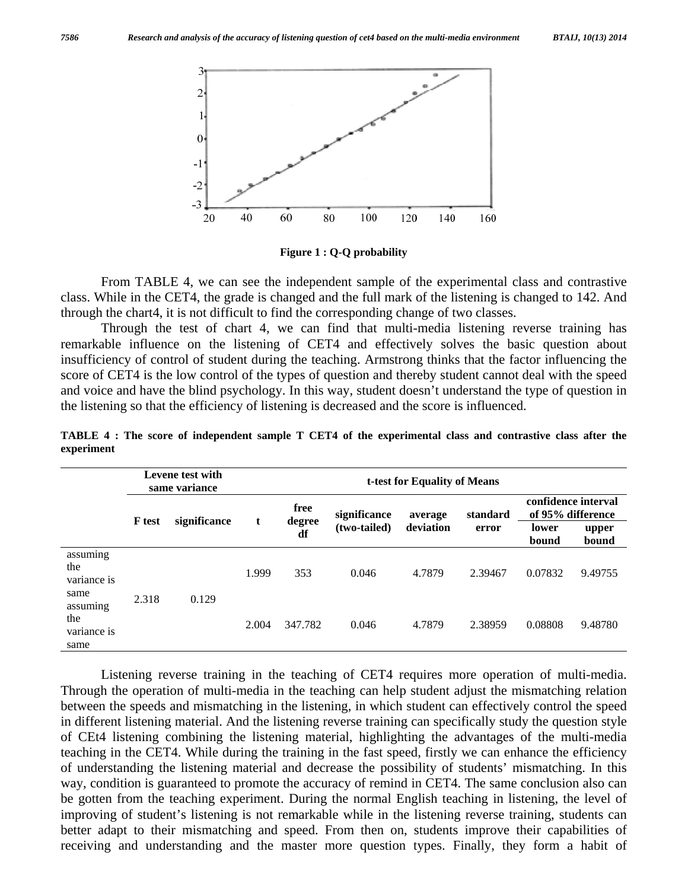

**Figure 1 : Q-Q probability** 

 From TABLE 4, we can see the independent sample of the experimental class and contrastive class. While in the CET4, the grade is changed and the full mark of the listening is changed to 142. And through the chart4, it is not difficult to find the corresponding change of two classes.

 Through the test of chart 4, we can find that multi-media listening reverse training has remarkable influence on the listening of CET4 and effectively solves the basic question about insufficiency of control of student during the teaching. Armstrong thinks that the factor influencing the score of CET4 is the low control of the types of question and thereby student cannot deal with the speed and voice and have the blind psychology. In this way, student doesn't understand the type of question in the listening so that the efficiency of listening is decreased and the score is influenced.

|                                        | Levene test with<br>same variance |              |       | t-test for Equality of Means |              |           |          |                                          |                |  |  |
|----------------------------------------|-----------------------------------|--------------|-------|------------------------------|--------------|-----------|----------|------------------------------------------|----------------|--|--|
|                                        |                                   |              |       | free                         | significance | average   | standard | confidence interval<br>of 95% difference |                |  |  |
|                                        | <b>F</b> test                     | significance | t     | degree<br>df                 | (two-tailed) | deviation | error    | lower<br>bound                           | upper<br>bound |  |  |
| assuming<br>the<br>variance is<br>same | 2.318                             | 0.129        | 1.999 | 353                          | 0.046        | 4.7879    | 2.39467  | 0.07832                                  | 9.49755        |  |  |
| assuming<br>the<br>variance is<br>same |                                   |              | 2.004 | 347.782                      | 0.046        | 4.7879    | 2.38959  | 0.08808                                  | 9.48780        |  |  |

**TABLE 4 : The score of independent sample T CET4 of the experimental class and contrastive class after the experiment** 

 Listening reverse training in the teaching of CET4 requires more operation of multi-media. Through the operation of multi-media in the teaching can help student adjust the mismatching relation between the speeds and mismatching in the listening, in which student can effectively control the speed in different listening material. And the listening reverse training can specifically study the question style of CEt4 listening combining the listening material, highlighting the advantages of the multi-media teaching in the CET4. While during the training in the fast speed, firstly we can enhance the efficiency of understanding the listening material and decrease the possibility of students' mismatching. In this way, condition is guaranteed to promote the accuracy of remind in CET4. The same conclusion also can be gotten from the teaching experiment. During the normal English teaching in listening, the level of improving of student's listening is not remarkable while in the listening reverse training, students can better adapt to their mismatching and speed. From then on, students improve their capabilities of receiving and understanding and the master more question types. Finally, they form a habit of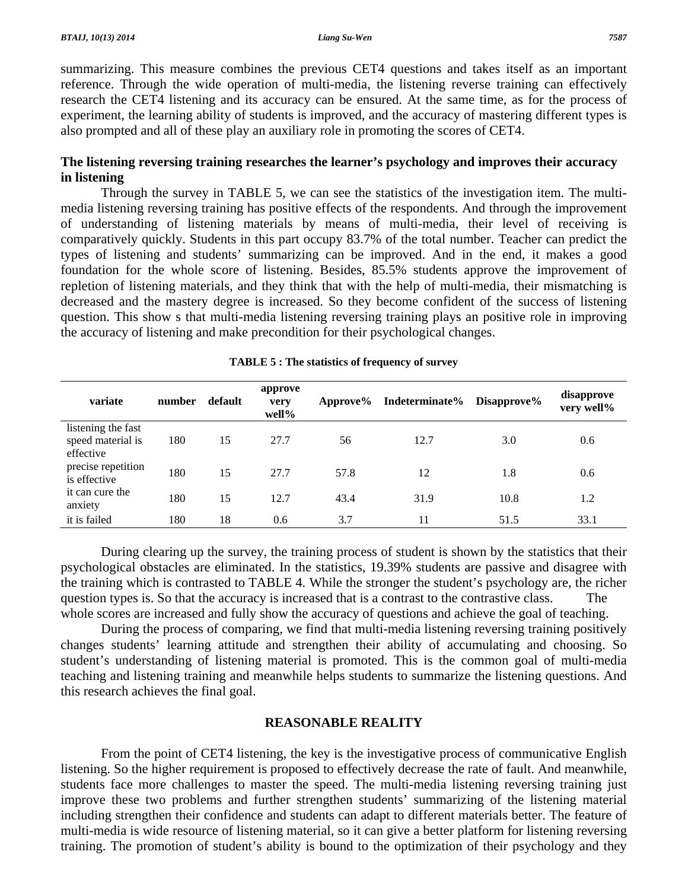summarizing. This measure combines the previous CET4 questions and takes itself as an important reference. Through the wide operation of multi-media, the listening reverse training can effectively research the CET4 listening and its accuracy can be ensured. At the same time, as for the process of experiment, the learning ability of students is improved, and the accuracy of mastering different types is also prompted and all of these play an auxiliary role in promoting the scores of CET4.

## **The listening reversing training researches the learner's psychology and improves their accuracy in listening**

 Through the survey in TABLE 5, we can see the statistics of the investigation item. The multimedia listening reversing training has positive effects of the respondents. And through the improvement of understanding of listening materials by means of multi-media, their level of receiving is comparatively quickly. Students in this part occupy 83.7% of the total number. Teacher can predict the types of listening and students' summarizing can be improved. And in the end, it makes a good foundation for the whole score of listening. Besides, 85.5% students approve the improvement of repletion of listening materials, and they think that with the help of multi-media, their mismatching is decreased and the mastery degree is increased. So they become confident of the success of listening question. This show s that multi-media listening reversing training plays an positive role in improving the accuracy of listening and make precondition for their psychological changes.

| variate                                              | number | default | approve<br>very<br>well% | Approve% | Indeterminate% | Disapprove% | disapprove<br>very well% |
|------------------------------------------------------|--------|---------|--------------------------|----------|----------------|-------------|--------------------------|
| listening the fast<br>speed material is<br>effective | 180    | 15      | 27.7                     | 56       | 12.7           | 3.0         | 0.6                      |
| precise repetition<br>is effective                   | 180    | 15      | 27.7                     | 57.8     | 12             | 1.8         | 0.6                      |
| it can cure the<br>anxiety                           | 180    | 15      | 12.7                     | 43.4     | 31.9           | 10.8        | 1.2                      |
| it is failed                                         | 180    | 18      | 0.6                      | 3.7      | 11             | 51.5        | 33.1                     |

|  |  |  | TABLE 5 : The statistics of frequency of survey |  |  |  |  |
|--|--|--|-------------------------------------------------|--|--|--|--|
|--|--|--|-------------------------------------------------|--|--|--|--|

 During clearing up the survey, the training process of student is shown by the statistics that their psychological obstacles are eliminated. In the statistics, 19.39% students are passive and disagree with the training which is contrasted to TABLE 4. While the stronger the student's psychology are, the richer question types is. So that the accuracy is increased that is a contrast to the contrastive class. The whole scores are increased and fully show the accuracy of questions and achieve the goal of teaching.

 During the process of comparing, we find that multi-media listening reversing training positively changes students' learning attitude and strengthen their ability of accumulating and choosing. So student's understanding of listening material is promoted. This is the common goal of multi-media teaching and listening training and meanwhile helps students to summarize the listening questions. And this research achieves the final goal.

#### **REASONABLE REALITY**

 From the point of CET4 listening, the key is the investigative process of communicative English listening. So the higher requirement is proposed to effectively decrease the rate of fault. And meanwhile, students face more challenges to master the speed. The multi-media listening reversing training just improve these two problems and further strengthen students' summarizing of the listening material including strengthen their confidence and students can adapt to different materials better. The feature of multi-media is wide resource of listening material, so it can give a better platform for listening reversing training. The promotion of student's ability is bound to the optimization of their psychology and they